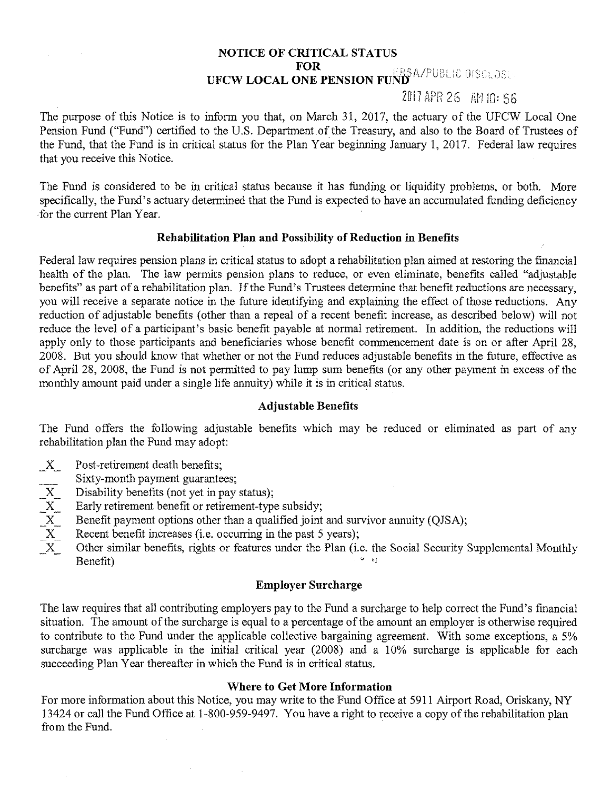# **NOTICE OF CRITICAL STATUS UFCW LOCAL ONE PENSION FUND EXECUTED**

# 2017 APR 26 AM 10: 56

The purpose of this Notice is to inform you that, on March 31, 2017, the actuary of the UFCW Local One Pension Fund ("Fund") certified to the U.S. Department of the Treasury, and also to the Board of Trustees of the Fund, that the Fund is in critical status for the Plan Year beginning January 1, 2017. Federal law requires that you receive this Notice.

The Fund is considered to be in critical status because it has funding or liquidity problems, or both. More specifically, the Fund's actuary determined that the Fund is expected to have an accumulated funding deficiency ·for the current Plan Year.

### **Rehabilitation Plan and Possibility of Reduction in Benefits**

Federal law requires pension plans in critical status to adopt a rehabilitation plan aimed at restoring the financial health of the plan. The law permits pension plans to reduce, or even eliminate, benefits called "adjustable benefits" as part of a rehabilitation plan. If the Fund's Trustees determine that benefit reductions are necessary, you will receive a separate notice in the future identifying and explaining the effect of those reductions. Any reduction of adjustable benefits (other than a repeal of a recent benefit increase, as described below) will not reduce the level of a participant's basic benefit payable at normal retirement. In addition, the reductions will apply only to those participants and beneficiaries whose benefit commencement date is on or after April 28, 2008. But you should know that whether or not the Fund reduces adjustable benefits in the future, effective as of April 28, 2008, the Fund is not pennitted to pay lump sum benefits (or any other payment in excess of the monthly amount paid under a single life annuity) while it is in critical status.

#### **Adjustable Benefits**

The Fund offers the following adjustable benefits which may be reduced or eliminated as part of any rehabilitation plan the Fund may adopt:

- $X$  Post-retirement death benefits;
- Sixty-month payment guarantees;
- X Disability benefits (not yet in pay status);<br>
X Early retirement benefit or retirement-type<br>
X Benefit payment options other than a qual<br>
X Recent benefit increases (i.e. occurring in<br>
X Other similar benefits, rights or
- Early retirement benefit or retirement-type subsidy;
- Benefit payment options other than a qualified joint and survivor annuity (QJSA);
- Recent benefit increases (i.e. occurring in the past 5 years);
- Other similar benefits, rights or features under the Plan (i.e. the Social Security Supplemental Monthly  $B_{\rm en}$  benefit)

## **Employer Surcharge**

The law requires that all contributing employers pay to the Fund a surcharge to help correct the Fund's financial situation. The amount of the surcharge is equal to a percentage of the amount an employer is otherwise required to contribute to the Fund under the applicable collective bargaining agreement. With some exceptions, a 5% surcharge was applicable in the initial critical year (2008) and a 10% surcharge is applicable for each succeeding Plan Year thereafter in which the Fund is in critical status.

#### **Where to Get More Information**

For more information about this Notice, you may write to the Fund Office at 5911 Airport Road, Oriskany, NY 13424 or call the Fund Office at 1-800-959-9497. You have a right to receive a copy of the rehabilitation plan from the Fund.